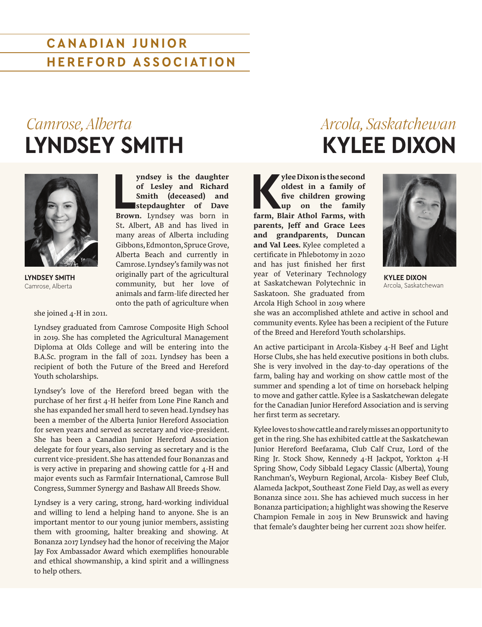### **CANADIAN JUNIOR HEREFORD ASSOCIATION**

## *Camrose, Alberta* **LYNDSEY SMITH**



**LYNDSEY SMITH** Camrose, Alberta

she joined 4-H in 2011.

yndsey is the daughter<br>
of Lesley and Richard<br>
Smith (deceased) and<br>
stepdaughter of Dave<br>
Brown. Lyndsey was born in **yndsey is the daughter of Lesley and Richard Smith (deceased) and stepdaughter of Dave**  St**.** Albert, AB and has lived in many areas of Alberta including Gibbons, Edmonton, Spruce Grove, Alberta Beach and currently in Camrose. Lyndsey's family was not originally part of the agricultural community, but her love of animals and farm-life directed her onto the path of agriculture when

Lyndsey graduated from Camrose Composite High School in 2019. She has completed the Agricultural Management Diploma at Olds College and will be entering into the B.A.Sc. program in the fall of 2021. Lyndsey has been a recipient of both the Future of the Breed and Hereford Youth scholarships.

Lyndsey's love of the Hereford breed began with the purchase of her first 4-H heifer from Lone Pine Ranch and she has expanded her small herd to seven head. Lyndsey has been a member of the Alberta Junior Hereford Association for seven years and served as secretary and vice-president. She has been a Canadian Junior Hereford Association delegate for four years, also serving as secretary and is the current vice-president. She has attended four Bonanzas and is very active in preparing and showing cattle for 4-H and major events such as Farmfair International, Camrose Bull Congress, Summer Synergy and Bashaw All Breeds Show.

Lyndsey is a very caring, strong, hard-working individual and willing to lend a helping hand to anyone. She is an important mentor to our young junior members, assisting them with grooming, halter breaking and showing. At Bonanza 2017 Lyndsey had the honor of receiving the Major Jay Fox Ambassador Award which exemplifies honourable and ethical showmanship, a kind spirit and a willingness to help others.

### *Arcola, Saskatchewan* **KYLEE DIXON**

**K**<br>ylee Dixon is the second oldest in a family of five children growing<br>up on the family farm, Blair Athol Farms, with **oldest in a family of five children growing up on the family parents, Jeff and Grace Lees and grandparents, Duncan and Val Lees.** Kylee completed a certificate in Phlebotomy in 2020 and has just finished her first year of Veterinary Technology **KYLEE DIXON** at Saskatchewan Polytechnic in Arcola, Saskatchewan Saskatoon. She graduated from Arcola High School in 2019 where



she was an accomplished athlete and active in school and community events. Kylee has been a recipient of the Future of the Breed and Hereford Youth scholarships.

An active participant in Arcola-Kisbey 4-H Beef and Light Horse Clubs, she has held executive positions in both clubs. She is very involved in the day-to-day operations of the farm, baling hay and working on show cattle most of the summer and spending a lot of time on horseback helping to move and gather cattle. Kylee is a Saskatchewan delegate for the Canadian Junior Hereford Association and is serving her first term as secretary.

Kylee loves toshow cattle and rarely misses anopportunity to get in the ring. She has exhibited cattle at the Saskatchewan Junior Hereford Beefarama, Club Calf Cruz, Lord of the Ring Jr. Stock Show, Kennedy 4-H Jackpot, Yorkton 4-H Spring Show, Cody Sibbald Legacy Classic (Alberta), Young Ranchman's, Weyburn Regional, Arcola- Kisbey Beef Club, Alameda Jackpot, Southeast Zone Field Day, as well as every Bonanza since 2011. She has achieved much success in her Bonanza participation; a highlight was showing the Reserve Champion Female in 2015 in New Brunswick and having that female's daughter being her current 2021 show heifer.